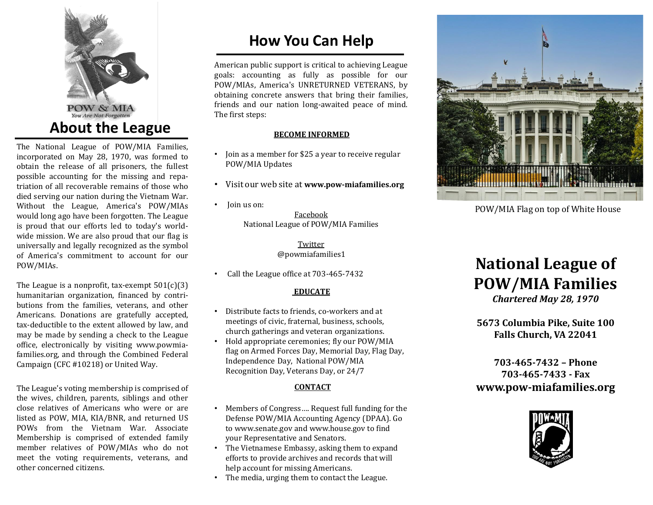

The National League of POW/MIA Families, incorporated on May 28, 1970, was formed to obtain the release of all prisoners, the fullest possible accounting for the missing and repatriation of all recoverable remains of those who died serving our nation during the Vietnam War. Without the League, America's POW/MIAs would long ago have been forgotten. The League is proud that our efforts led to today's worldwide mission. We are also proud that our flag is universally and legally recognized as the symbol of America's commitment to account for our POW/MIAs.

The League is a nonprofit, tax-exempt  $501(c)(3)$ humanitarian organization, financed by contributions from the families, veterans, and other Americans. Donations are gratefully accepted, tax-deductible to the extent allowed by law, and may be made by sending a check to the League office, electronically by visiting www.powmiafamilies.org, and through the Combined Federal Campaign (CFC #10218) or United Way.

The League's voting membership is comprised of the wives, children, parents, siblings and other close relatives of Americans who were or are listed as POW, MIA, KIA/BNR, and returned US POWs from the Vietnam War. Associate Membership is comprised of extended family member relatives of POW/MIAs who do not meet the voting requirements, veterans, and other concerned citizens.

## **How You Can Help**

American public support is critical to achieving League goals: accounting as fully as possible for our POW/MIAs, America's UNRETURNED VETERANS, by obtaining concrete answers that bring their families, friends and our nation long-awaited peace of mind. The first steps:

#### **BECOME INFORMED**

- Join as a member for \$25 a year to receive regular POW/MIA Updates
- Visit our web site at **www.pow-miafamilies.org**
- Join us on: Facebook National League of POW/MIA Families

Twitter @powmiafamilies1

• Call the League office at 703-465-7432

#### **EDUCATE**

- Distribute facts to friends, co-workers and at meetings of civic, fraternal, business, schools, church gatherings and veteran organizations.
- Hold appropriate ceremonies; fly our POW/MIA flag on Armed Forces Day, Memorial Day, Flag Day, Independence Day, National POW/MIA Recognition Day, Veterans Day, or 24/7

#### **CONTACT**

- Members of Congress…. Request full funding for the Defense POW/MIA Accounting Agency (DPAA). Go to www.senate.gov and www.house.gov to find your Representative and Senators.
- The Vietnamese Embassy, asking them to expand efforts to provide archives and records that will help account for missing Americans.
- The media, urging them to contact the League.



POW/MIA Flag on top of White House

# **National League of POW/MIA Families**

*Chartered May 28, 1970*

**5673 Columbia Pike, Suite 100 Falls Church, VA 22041** 

**703-465-7432 – Phone 703-465-7433 - Fax www.pow-miafamilies.org**